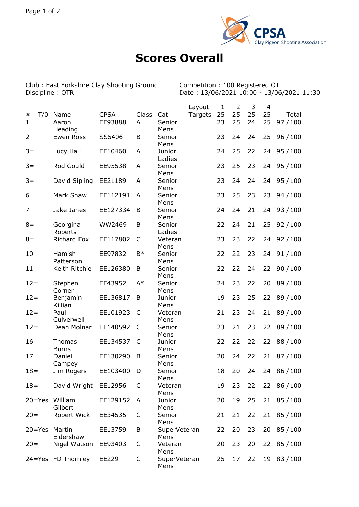

## **Scores Overall**

Club : East Yorkshire Clay Shooting Ground<br>Discipline : OTR

Competition : 100 Registered OT<br>Date : 13/06/2021 10:00 - 13/06/2021 11:30

|                |                               |             |              |                      | Layout  | $\mathbf{1}$ | $\overline{2}$ | 3  | 4  |           |
|----------------|-------------------------------|-------------|--------------|----------------------|---------|--------------|----------------|----|----|-----------|
| T/0<br>#       | Name                          | <b>CPSA</b> | Class        | Cat                  | Targets | 25           | 25             | 25 | 25 | Total     |
| $\overline{1}$ | Aaron<br>Heading              | EE93888     | A            | Senior<br>Mens       |         | 23           | 25             | 24 | 25 | 97 / 100  |
| $\overline{2}$ | Ewen Ross                     | SS5406      | B            | Senior<br>Mens       |         | 23           | 24             | 24 | 25 | 96 / 100  |
| $3 =$          | Lucy Hall                     | EE10460     | A            | Junior<br>Ladies     |         | 24           | 25             | 22 | 24 | 95/100    |
| $3 =$          | Rod Gould                     | EE95538     | A            | Senior               |         | 23           | 25             | 23 | 24 | 95/100    |
| $3 =$          | David Sipling                 | EE21189     | A            | Mens<br>Senior       |         | 23           | 24             | 24 | 24 | 95/100    |
| 6              | Mark Shaw                     | EE112191    | A            | Mens<br>Senior       |         | 23           | 25             | 23 | 23 | 94 / 100  |
| 7              | Jake Janes                    | EE127334    | B            | Mens<br>Senior       |         | 24           | 24             | 21 | 24 | 93/100    |
| $8 =$          | Georgina                      | WW2469      | B            | Mens<br>Senior       |         | 22           | 24             | 21 | 25 | 92/100    |
| $8 =$          | Roberts<br><b>Richard Fox</b> | EE117802    | C            | Ladies<br>Veteran    |         | 23           | 23             | 22 | 24 | 92/100    |
| 10             | Hamish                        | EE97832     | $B*$         | Mens<br>Senior       |         | 22           | 22             | 23 | 24 | 91/100    |
| 11             | Patterson<br>Keith Ritchie    | EE126380    | B            | Mens<br>Senior       |         | 22           | 22             | 24 | 22 | 90/100    |
| $12 =$         | Stephen                       | EE43952     | $A^*$        | Mens<br>Senior       |         | 24           | 23             | 22 | 20 | 89/100    |
| $12 =$         | Corner<br>Benjamin            | EE136817    | B            | Mens<br>Junior       |         | 19           | 23             | 25 | 22 | 89/100    |
| $12 =$         | Killian<br>Paul               | EE101923    | $\mathsf{C}$ | Mens<br>Veteran      |         | 21           | 23             | 24 | 21 | 89/100    |
| $12 =$         | Culverwell<br>Dean Molnar     | EE140592    | C            | Mens<br>Senior       |         | 23           | 21             | 23 | 22 | 89/100    |
| 16             | <b>Thomas</b>                 | EE134537    | C            | Mens<br>Junior       |         | 22           | 22             | 22 | 22 | 88/100    |
| 17             | <b>Burns</b><br>Daniel        | EE130290    | B            | Mens<br>Senior       |         | 20           | 24             | 22 | 21 | 87/100    |
|                | Campey                        |             |              | Mens                 |         |              |                |    |    |           |
| $18 =$         | Jim Rogers                    | EE103400    | D            | Senior<br>Mens       |         | 18           | 20             | 24 | 24 | 86 / 100  |
| $18 =$         | David Wright                  | EE12956     | C            | Veteran<br>Mens      |         | 19           | 23             | 22 | 22 | 86 / 100  |
| $20 = Yes$     | William<br>Gilbert            | EE129152    | A            | Junior<br>Mens       |         | 20           | 19             | 25 | 21 | 85/100    |
| $20 =$         | Robert Wick                   | EE34535     | C            | Senior<br>Mens       |         | 21           | 21             | 22 | 21 | 85/100    |
| $20 = Yes$     | Martin<br>Eldershaw           | EE13759     | B            | SuperVeteran<br>Mens |         | 22           | 20             | 23 | 20 | 85/100    |
| $20=$          | Nigel Watson                  | EE93403     | C            | Veteran<br>Mens      |         | 20           | 23             | 20 |    | 22 85/100 |
|                | 24=Yes FD Thornley            | EE229       | C            | SuperVeteran<br>Mens |         | 25           | 17             | 22 | 19 | 83/100    |